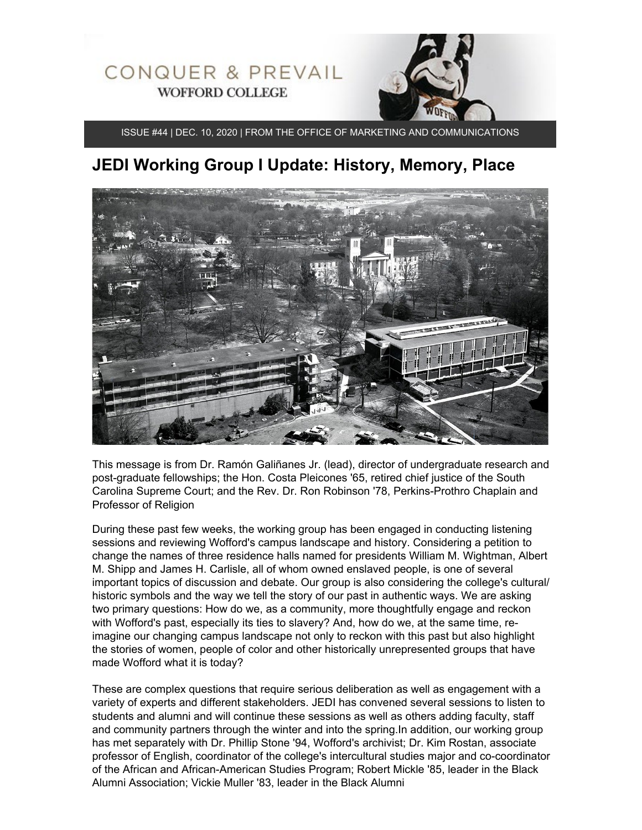

ISSUE #44 | DEC. 10, 2020 | FROM THE OFFICE OF MARKETING AND COMMUNICATIONS

# **JEDI Working Group I Update: History, Memory, Place**



This message is from Dr. Ramón Galiñanes Jr. (lead), director of undergraduate research and post-graduate fellowships; the Hon. Costa Pleicones '65, retired chief justice of the South Carolina Supreme Court; and the Rev. Dr. Ron Robinson '78, Perkins-Prothro Chaplain and Professor of Religion

During these past few weeks, the working group has been engaged in conducting listening sessions and reviewing Wofford's campus landscape and history. Considering a petition to change the names of three residence halls named for presidents William M. Wightman, Albert M. Shipp and James H. Carlisle, all of whom owned enslaved people, is one of several important topics of discussion and debate. Our group is also considering the college's cultural/ historic symbols and the way we tell the story of our past in authentic ways. We are asking two primary questions: How do we, as a community, more thoughtfully engage and reckon with Wofford's past, especially its ties to slavery? And, how do we, at the same time, reimagine our changing campus landscape not only to reckon with this past but also highlight the stories of women, people of color and other historically unrepresented groups that have made Wofford what it is today?

These are complex questions that require serious deliberation as well as engagement with a variety of experts and different stakeholders. JEDI has convened several sessions to listen to students and alumni and will continue these sessions as well as others adding faculty, staff and community partners through the winter and into the spring.In addition, our working group has met separately with Dr. Phillip Stone '94, Wofford's archivist; Dr. Kim Rostan, associate professor of English, coordinator of the college's intercultural studies major and co-coordinator of the African and African-American Studies Program; Robert Mickle '85, leader in the Black Alumni Association; Vickie Muller '83, leader in the Black Alumni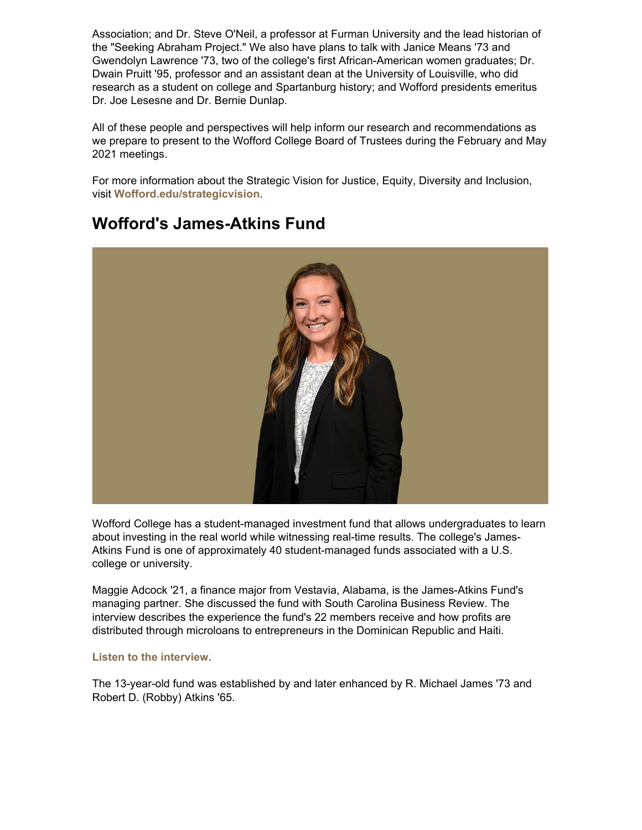Association; and Dr. Steve O'Neil, a professor at Furman University and the lead historian of the "Seeking Abraham Project." We also have plans to talk with Janice Means '73 and Gwendolyn Lawrence '73, two of the college's first African-American women graduates; Dr. Dwain Pruitt '95, professor and an assistant dean at the University of Louisville, who did research as a student on college and Spartanburg history; and Wofford presidents emeritus Dr. Joe Lesesne and Dr. Bernie Dunlap.

All of these people and perspectives will help inform our research and recommendations as we prepare to present to the Wofford College Board of Trustees during the February and May 2021 meetings.

For more information about the Strategic Vision for Justice, Equity, Diversity and Inclusion, visit **[Wofford.edu/strategicvision](https://www.wofford.edu/about/strategic-vision)**.



## **Wofford's James-Atkins Fund**

Wofford College has a student-managed investment fund that allows undergraduates to learn about investing in the real world while witnessing real-time results. The college's James-Atkins Fund is one of approximately 40 student-managed funds associated with a U.S. college or university.

Maggie Adcock '21, a finance major from Vestavia, Alabama, is the James-Atkins Fund's managing partner. She discussed the fund with South Carolina Business Review. The interview describes the experience the fund's 22 members receive and how profits are distributed through microloans to entrepreneurs in the Dominican Republic and Haiti.

#### **[Listen to the interview](https://www.southcarolinapublicradio.org/post/sc-student-investment-club-helping-developing-world-entrepreneurs)**.

The 13-year-old fund was established by and later enhanced by R. Michael James '73 and Robert D. (Robby) Atkins '65.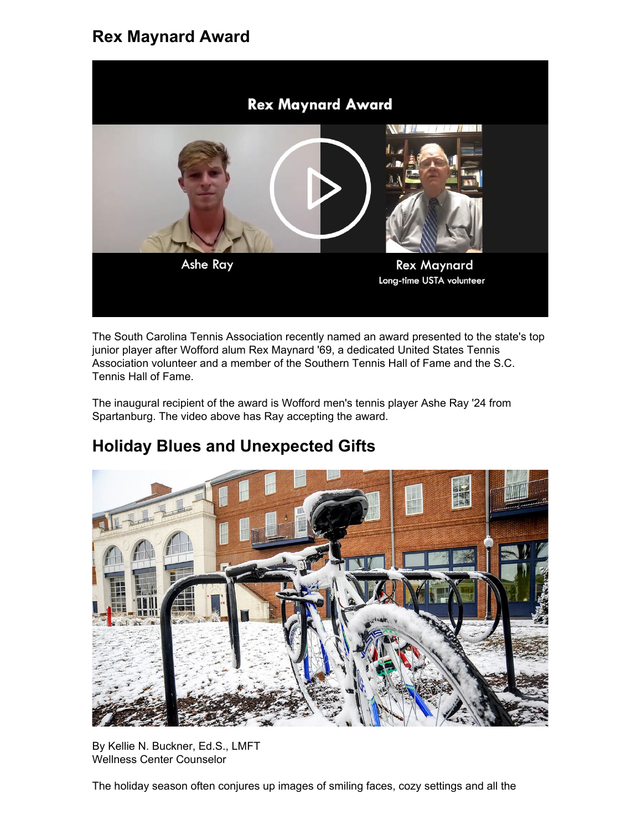### **Rex Maynard Award**



The South Carolina Tennis Association recently named an award presented to the state's top junior player after Wofford alum Rex Maynard '69, a dedicated United States Tennis Association volunteer and a member of the Southern Tennis Hall of Fame and the S.C. Tennis Hall of Fame.

The inaugural recipient of the award is Wofford men's tennis player Ashe Ray '24 from Spartanburg. The video above has Ray accepting the award.

# **Holiday Blues and Unexpected Gifts**



By Kellie N. Buckner, Ed.S., LMFT Wellness Center Counselor

The holiday season often conjures up images of smiling faces, cozy settings and all the